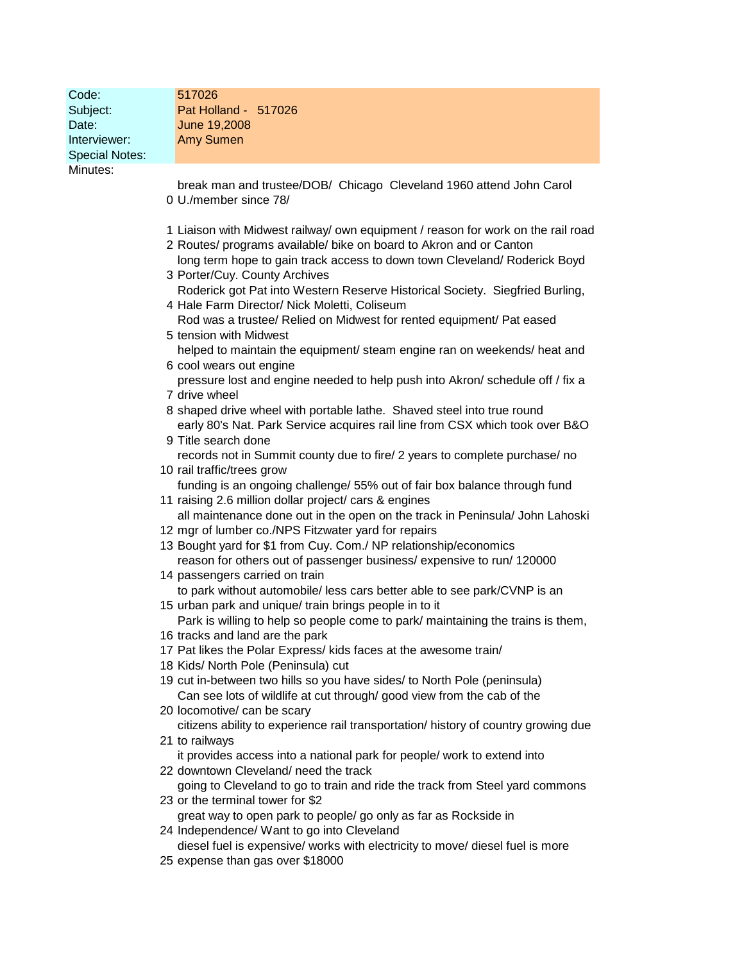| Code:<br>Subject:     | 517026<br>Pat Holland - 517026                                                                                                                                                                                                                                                                                                                       |
|-----------------------|------------------------------------------------------------------------------------------------------------------------------------------------------------------------------------------------------------------------------------------------------------------------------------------------------------------------------------------------------|
| Date:                 | June 19,2008                                                                                                                                                                                                                                                                                                                                         |
| Interviewer:          | <b>Amy Sumen</b>                                                                                                                                                                                                                                                                                                                                     |
| <b>Special Notes:</b> |                                                                                                                                                                                                                                                                                                                                                      |
| Minutes:              |                                                                                                                                                                                                                                                                                                                                                      |
|                       | break man and trustee/DOB/ Chicago Cleveland 1960 attend John Carol                                                                                                                                                                                                                                                                                  |
|                       | 0 U./member since 78/                                                                                                                                                                                                                                                                                                                                |
|                       | 1 Liaison with Midwest railway/ own equipment / reason for work on the rail road<br>2 Routes/ programs available/ bike on board to Akron and or Canton<br>long term hope to gain track access to down town Cleveland/ Roderick Boyd<br>3 Porter/Cuy. County Archives<br>Roderick got Pat into Western Reserve Historical Society. Siegfried Burling, |
|                       | 4 Hale Farm Director/ Nick Moletti, Coliseum                                                                                                                                                                                                                                                                                                         |
|                       | Rod was a trustee/ Relied on Midwest for rented equipment/ Pat eased<br>5 tension with Midwest                                                                                                                                                                                                                                                       |
|                       | helped to maintain the equipment/ steam engine ran on weekends/ heat and                                                                                                                                                                                                                                                                             |
|                       | 6 cool wears out engine                                                                                                                                                                                                                                                                                                                              |
|                       | pressure lost and engine needed to help push into Akron/ schedule off / fix a<br>7 drive wheel                                                                                                                                                                                                                                                       |
|                       | 8 shaped drive wheel with portable lathe. Shaved steel into true round                                                                                                                                                                                                                                                                               |
|                       | early 80's Nat. Park Service acquires rail line from CSX which took over B&O                                                                                                                                                                                                                                                                         |
|                       | 9 Title search done<br>records not in Summit county due to fire/ 2 years to complete purchase/ no                                                                                                                                                                                                                                                    |
|                       | 10 rail traffic/trees grow                                                                                                                                                                                                                                                                                                                           |
|                       | funding is an ongoing challenge/ 55% out of fair box balance through fund<br>11 raising 2.6 million dollar project/ cars & engines                                                                                                                                                                                                                   |
|                       | all maintenance done out in the open on the track in Peninsula/ John Lahoski                                                                                                                                                                                                                                                                         |
|                       | 12 mgr of lumber co./NPS Fitzwater yard for repairs                                                                                                                                                                                                                                                                                                  |
|                       | 13 Bought yard for \$1 from Cuy. Com./ NP relationship/economics<br>reason for others out of passenger business/expensive to run/ 120000                                                                                                                                                                                                             |
|                       | 14 passengers carried on train                                                                                                                                                                                                                                                                                                                       |
|                       | to park without automobile/ less cars better able to see park/CVNP is an<br>15 urban park and unique/ train brings people in to it                                                                                                                                                                                                                   |
|                       | Park is willing to help so people come to park/ maintaining the trains is them,                                                                                                                                                                                                                                                                      |
|                       | 16 tracks and land are the park                                                                                                                                                                                                                                                                                                                      |
|                       | 17 Pat likes the Polar Express/ kids faces at the awesome train/<br>18 Kids/ North Pole (Peninsula) cut                                                                                                                                                                                                                                              |
|                       | 19 cut in-between two hills so you have sides/ to North Pole (peninsula)                                                                                                                                                                                                                                                                             |
|                       | Can see lots of wildlife at cut through/good view from the cab of the                                                                                                                                                                                                                                                                                |
|                       | 20 locomotive/ can be scary<br>citizens ability to experience rail transportation/ history of country growing due                                                                                                                                                                                                                                    |
|                       | 21 to railways                                                                                                                                                                                                                                                                                                                                       |
|                       | it provides access into a national park for people/ work to extend into<br>22 downtown Cleveland/ need the track                                                                                                                                                                                                                                     |
|                       | going to Cleveland to go to train and ride the track from Steel yard commons                                                                                                                                                                                                                                                                         |
|                       | 23 or the terminal tower for \$2                                                                                                                                                                                                                                                                                                                     |
|                       | great way to open park to people/ go only as far as Rockside in<br>24 Independence/ Want to go into Cleveland                                                                                                                                                                                                                                        |
|                       | diesel fuel is expensive/ works with electricity to move/ diesel fuel is more                                                                                                                                                                                                                                                                        |
|                       | 25 expense than gas over \$18000                                                                                                                                                                                                                                                                                                                     |
|                       |                                                                                                                                                                                                                                                                                                                                                      |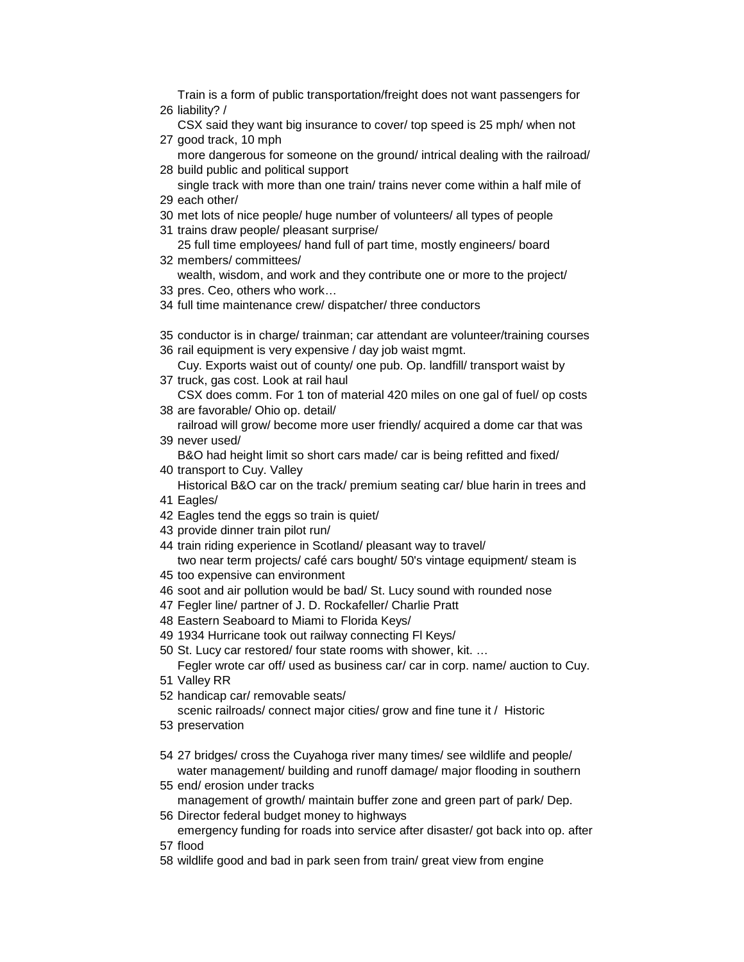liability? / Train is a form of public transportation/freight does not want passengers for

 good track, 10 mph CSX said they want big insurance to cover/ top speed is 25 mph/ when not

 build public and political support more dangerous for someone on the ground/ intrical dealing with the railroad/

 each other/ single track with more than one train/ trains never come within a half mile of

- met lots of nice people/ huge number of volunteers/ all types of people
- trains draw people/ pleasant surprise/
- members/ committees/ 25 full time employees/ hand full of part time, mostly engineers/ board
- wealth, wisdom, and work and they contribute one or more to the project/
- pres. Ceo, others who work…
- full time maintenance crew/ dispatcher/ three conductors
- conductor is in charge/ trainman; car attendant are volunteer/training courses
- rail equipment is very expensive / day job waist mgmt.

 truck, gas cost. Look at rail haul Cuy. Exports waist out of county/ one pub. Op. landfill/ transport waist by

- are favorable/ Ohio op. detail/ CSX does comm. For 1 ton of material 420 miles on one gal of fuel/ op costs
- never used/ railroad will grow/ become more user friendly/ acquired a dome car that was

B&O had height limit so short cars made/ car is being refitted and fixed/

- transport to Cuy. Valley
	- Historical B&O car on the track/ premium seating car/ blue harin in trees and
- Eagles/
- Eagles tend the eggs so train is quiet/
- provide dinner train pilot run/
- train riding experience in Scotland/ pleasant way to travel/ two near term projects/ café cars bought/ 50's vintage equipment/ steam is
- too expensive can environment
- soot and air pollution would be bad/ St. Lucy sound with rounded nose
- Fegler line/ partner of J. D. Rockafeller/ Charlie Pratt
- Eastern Seaboard to Miami to Florida Keys/
- 1934 Hurricane took out railway connecting Fl Keys/
- St. Lucy car restored/ four state rooms with shower, kit. …

 Valley RR Fegler wrote car off/ used as business car/ car in corp. name/ auction to Cuy.

handicap car/ removable seats/

scenic railroads/ connect major cities/ grow and fine tune it / Historic

- preservation
- 27 bridges/ cross the Cuyahoga river many times/ see wildlife and people/ water management/ building and runoff damage/ major flooding in southern
- end/ erosion under tracks management of growth/ maintain buffer zone and green part of park/ Dep.
- Director federal budget money to highways emergency funding for roads into service after disaster/ got back into op. after
- flood
- wildlife good and bad in park seen from train/ great view from engine